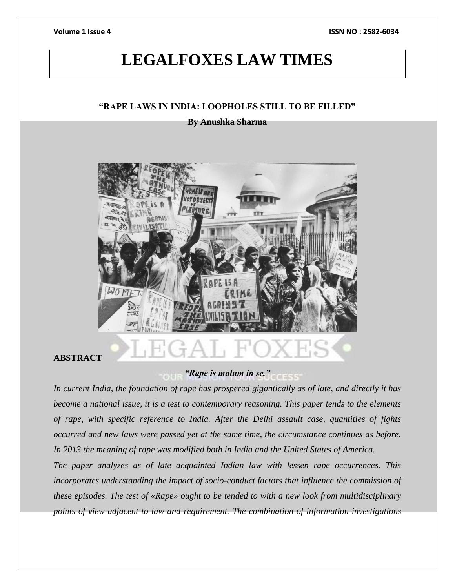# **LEGALFOXES LAW TIMES**

### **"RAPE LAWS IN INDIA: LOOPHOLES STILL TO BE FILLED"**

#### **By Anushka Sharma**



### **ABSTRACT**

#### *"Rape is malum in se."*

*In current India, the foundation of rape has prospered gigantically as of late, and directly it has become a national issue, it is a test to contemporary reasoning. This paper tends to the elements of rape, with specific reference to India. After the Delhi assault case, quantities of fights occurred and new laws were passed yet at the same time, the circumstance continues as before. In 2013 the meaning of rape was modified both in India and the United States of America.*

*The paper analyzes as of late acquainted Indian law with lessen rape occurrences. This incorporates understanding the impact of socio-conduct factors that influence the commission of these episodes. The test of «Rape» ought to be tended to with a new look from multidisciplinary points of view adjacent to law and requirement. The combination of information investigations*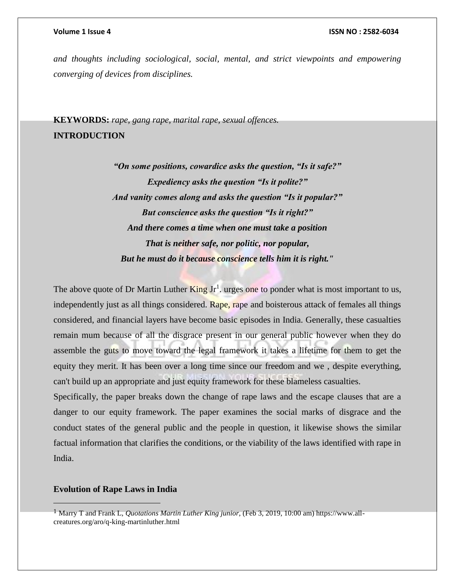*and thoughts including sociological, social, mental, and strict viewpoints and empowering converging of devices from disciplines.*

**KEYWORDS:** *rape, gang rape, marital rape, sexual offences.* **INTRODUCTION**

> *"On some positions, cowardice asks the question, "Is it safe?" Expediency asks the question "Is it polite?" And vanity comes along and asks the question "Is it popular?" But conscience asks the question "Is it right?" And there comes a time when one must take a position That is neither safe, nor politic, nor popular, But he must do it because conscience tells him it is right."*

The above quote of Dr Martin Luther  $King Jr<sup>1</sup>$ . urges one to ponder what is most important to us, independently just as all things considered. Rape, rape and boisterous attack of females all things considered, and financial layers have become basic episodes in India. Generally, these casualties remain mum because of all the disgrace present in our general public however when they do assemble the guts to move toward the legal framework it takes a lifetime for them to get the equity they merit. It has been over a long time since our freedom and we , despite everything, can't build up an appropriate and just equity framework for these blameless casualties.

Specifically, the paper breaks down the change of rape laws and the escape clauses that are a danger to our equity framework. The paper examines the social marks of disgrace and the conduct states of the general public and the people in question, it likewise shows the similar factual information that clarifies the conditions, or the viability of the laws identified with rape in India.

#### **Evolution of Rape Laws in India**

 $\overline{a}$ 

<sup>1</sup> Marry T and Frank L, *Quotations Martin Luther King junior*, (Feb 3, 2019, 10:00 am) https://www.allcreatures.org/aro/q-king-martinluther.html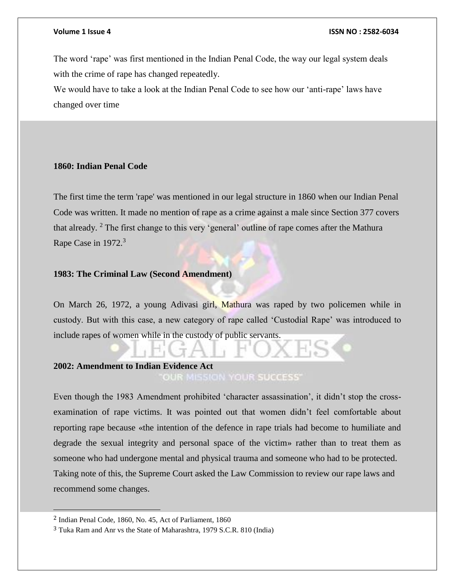The word 'rape' was first mentioned in the Indian Penal Code, the way our legal system deals with the crime of rape has changed repeatedly.

We would have to take a look at the Indian Penal Code to see how our 'anti-rape' laws have changed over time

#### **1860: Indian Penal Code**

The first time the term 'rape' was mentioned in our legal structure in 1860 when our Indian Penal Code was written. It made no mention of rape as a crime against a male since Section 377 covers that already.  $2$  The first change to this very 'general' outline of rape comes after the Mathura Rape Case in 1972.<sup>3</sup>

### **1983: The Criminal Law (Second Amendment)**

On March 26, 1972, a young Adivasi girl, Mathura was raped by two policemen while in custody. But with this case, a new category of rape called 'Custodial Rape' was introduced to include rapes of women while in the custody of public servants.

### **2002: Amendment to Indian Evidence Act**

OUR MISSION YOUR SUCCESS'

Even though the 1983 Amendment prohibited 'character assassination', it didn't stop the crossexamination of rape victims. It was pointed out that women didn't feel comfortable about reporting rape because «the intention of the defence in rape trials had become to humiliate and degrade the sexual integrity and personal space of the victim» rather than to treat them as someone who had undergone mental and physical trauma and someone who had to be protected. Taking note of this, the Supreme Court asked the Law Commission to review our rape laws and recommend some changes.

 $\overline{a}$ 

<sup>2</sup> Indian Penal Code, 1860, No. 45, Act of Parliament, 1860

<sup>3</sup> Tuka Ram and Anr vs the State of Maharashtra, 1979 S.C.R. 810 (India)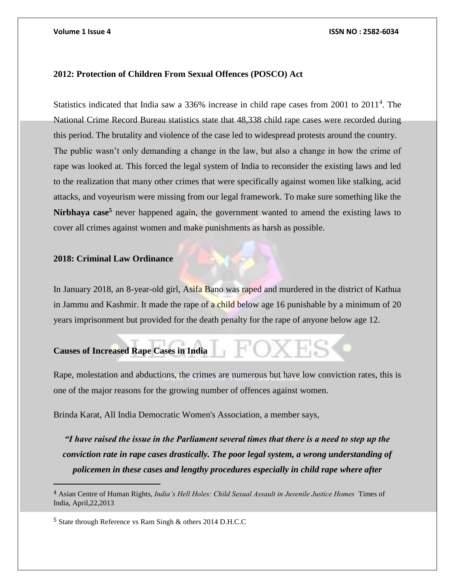#### **2012: Protection of Children From Sexual Offences (POSCO) Act**

Statistics indicated that India saw a 336% increase in child rape cases from 2001 to 2011<sup>4</sup>. The National Crime Record Bureau statistics state that 48,338 child rape cases were recorded during this period. The brutality and violence of the case led to widespread protests around the country. The public wasn't only demanding a change in the law, but also a change in how the crime of rape was looked at. This forced the legal system of India to reconsider the existing laws and led to the realization that many other crimes that were specifically against women like stalking, acid attacks, and voyeurism were missing from our legal framework. To make sure something like the Nirbhaya case<sup>5</sup> never happened again, the government wanted to amend the existing laws to cover all crimes against women and make punishments as harsh as possible.

#### **2018: Criminal Law Ordinance**

In January 2018, an 8-year-old girl, Asifa Bano was raped and murdered in the district of Kathua in Jammu and Kashmir. It made the rape of a child below age 16 punishable by a minimum of 20 years imprisonment but provided for the death penalty for the rape of anyone below age 12.

#### **Causes of Increased Rape Cases in India**

 $\overline{a}$ 

Rape, molestation and abductions, the crimes are numerous but have low conviction rates, this is one of the major reasons for the growing number of offences against women.

Brinda Karat, All India Democratic Women's Association, a member says,

*"I have raised the issue in the Parliament several times that there is a need to step up the conviction rate in rape cases drastically. The poor legal system, a wrong understanding of policemen in these cases and lengthy procedures especially in child rape where after* 

<sup>4</sup> Asian Centre of Human Rights, *India's Hell Holes: Child Sexual Assault in Juvenile Justice Homes* Times of India, April,22,2013

<sup>5</sup> State through Reference vs Ram Singh & others 2014 D.H.C.C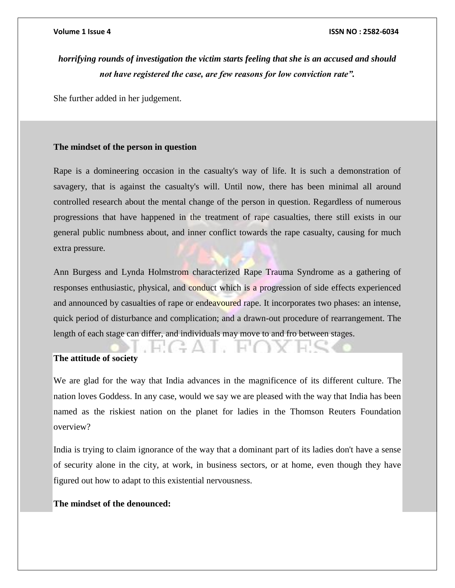## *horrifying rounds of investigation the victim starts feeling that she is an accused and should not have registered the case, are few reasons for low conviction rate".*

She further added in her judgement.

#### **The mindset of the person in question**

Rape is a domineering occasion in the casualty's way of life. It is such a demonstration of savagery, that is against the casualty's will. Until now, there has been minimal all around controlled research about the mental change of the person in question. Regardless of numerous progressions that have happened in the treatment of rape casualties, there still exists in our general public numbness about, and inner conflict towards the rape casualty, causing for much extra pressure.

Ann Burgess and Lynda Holmstrom characterized Rape Trauma Syndrome as a gathering of responses enthusiastic, physical, and conduct which is a progression of side effects experienced and announced by casualties of rape or endeavoured rape. It incorporates two phases: an intense, quick period of disturbance and complication; and a drawn-out procedure of rearrangement. The length of each stage can differ, and individuals may move to and fro between stages.

#### **The attitude of society**

We are glad for the way that India advances in the magnificence of its different culture. The nation loves Goddess. In any case, would we say we are pleased with the way that India has been named as the riskiest nation on the planet for ladies in the Thomson Reuters Foundation overview?

India is trying to claim ignorance of the way that a dominant part of its ladies don't have a sense of security alone in the city, at work, in business sectors, or at home, even though they have figured out how to adapt to this existential nervousness.

#### **The mindset of the denounced:**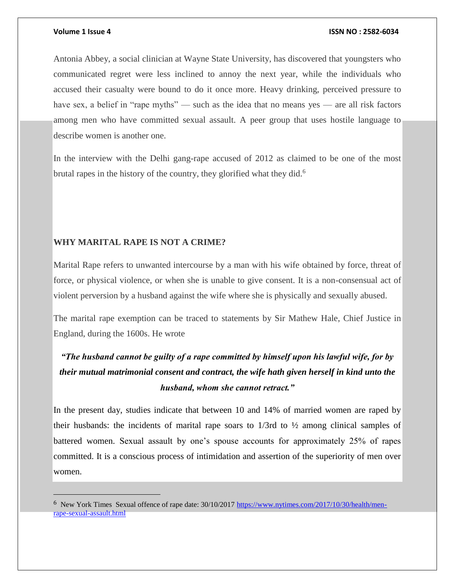#### **Volume 1 Issue 4 ISSN NO : 2582-6034**

Antonia Abbey, a social clinician at Wayne State University, has discovered that youngsters who communicated regret were less inclined to annoy the next year, while the individuals who accused their casualty were bound to do it once more. Heavy drinking, perceived pressure to have sex, a belief in "rape myths" — such as the idea that no means yes — are all risk factors among men who have committed sexual assault. A peer group that uses hostile language to describe women is another one.

In the interview with the Delhi gang-rape accused of 2012 as claimed to be one of the most brutal rapes in the history of the country, they glorified what they did.<sup>6</sup>

### **WHY MARITAL RAPE IS NOT A CRIME?**

Marital Rape refers to unwanted intercourse by a man with his wife obtained by force, threat of force, or physical violence, or when she is unable to give consent. It is a non-consensual act of violent perversion by a husband against the wife where she is physically and sexually abused.

The marital rape exemption can be traced to statements by Sir Mathew Hale, Chief Justice in England, during the 1600s. He wrote

# *"The husband cannot be guilty of a rape committed by himself upon his lawful wife, for by their mutual matrimonial consent and contract, the wife hath given herself in kind unto the husband, whom she cannot retract."*

In the present day, studies indicate that between 10 and 14% of married women are raped by their husbands: the incidents of marital rape soars to  $1/3$ rd to  $\frac{1}{2}$  among clinical samples of battered women. Sexual assault by one's spouse accounts for approximately 25% of rapes committed. It is a conscious process of intimidation and assertion of the superiority of men over women.

<sup>6</sup> New York Times Sexual offence of rape date: 30/10/2017 [https://www.nytimes.com/2017/10/30/health/men](https://www.nytimes.com/2017/10/30/health/men-rape-sexual-assault.html)[rape-sexual-assault.html](https://www.nytimes.com/2017/10/30/health/men-rape-sexual-assault.html)